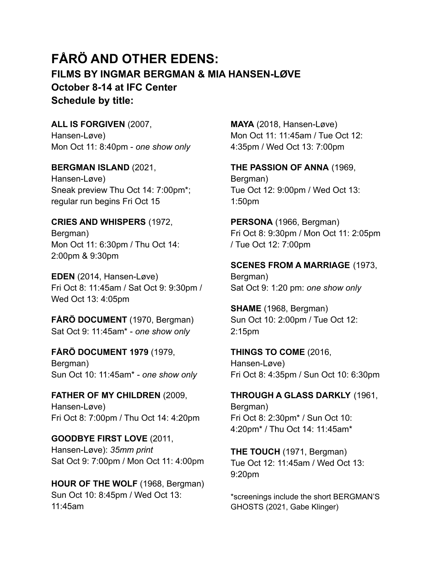## **FÅRÖ AND OTHER EDENS: FILMS BY INGMAR BERGMAN & MIA HANSEN-LØVE October 8-14 at IFC Center Schedule by title:**

**ALL IS FORGIVEN** (2007, Hansen-Løve) Mon Oct 11: 8:40pm - *one show only*

**BERGMAN ISLAND** (2021, Hansen-Løve) Sneak preview Thu Oct 14: 7:00pm\*; regular run begins Fri Oct 15

**CRIES AND WHISPERS** (1972, Bergman) Mon Oct 11: 6:30pm / Thu Oct 14: 2:00pm & 9:30pm

**EDEN** (2014, Hansen-Løve) Fri Oct 8: 11:45am / Sat Oct 9: 9:30pm / Wed Oct 13: 4:05pm

**FÅRÖ DOCUMENT** (1970, Bergman) Sat Oct 9: 11:45am\* - *one show only*

**FÅRÖ DOCUMENT 1979** (1979, Bergman) Sun Oct 10: 11:45am\* - *one show only*

**FATHER OF MY CHILDREN** (2009, Hansen-Løve) Fri Oct 8: 7:00pm / Thu Oct 14: 4:20pm

**GOODBYE FIRST LOVE** (2011, Hansen-Løve): *35mm print* Sat Oct 9: 7:00pm / Mon Oct 11: 4:00pm

**HOUR OF THE WOLF** (1968, Bergman) Sun Oct 10: 8:45pm / Wed Oct 13: 11:45am

**MAYA** (2018, Hansen-Løve) Mon Oct 11: 11:45am / Tue Oct 12: 4:35pm / Wed Oct 13: 7:00pm

**THE PASSION OF ANNA** (1969, Bergman) Tue Oct 12: 9:00pm / Wed Oct 13: 1:50pm

**PERSONA** (1966, Bergman) Fri Oct 8: 9:30pm / Mon Oct 11: 2:05pm / Tue Oct 12: 7:00pm

**SCENES FROM A MARRIAGE** (1973, Bergman) Sat Oct 9: 1:20 pm: *one show only*

**SHAME** (1968, Bergman) Sun Oct 10: 2:00pm / Tue Oct 12: 2:15pm

**THINGS TO COME** (2016, Hansen-Løve) Fri Oct 8: 4:35pm / Sun Oct 10: 6:30pm

**THROUGH A GLASS DARKLY** (1961, Bergman) Fri Oct 8: 2:30pm\* / Sun Oct 10: 4:20pm\* / Thu Oct 14: 11:45am\*

**THE TOUCH** (1971, Bergman) Tue Oct 12: 11:45am / Wed Oct 13: 9:20pm

\*screenings include the short BERGMAN'S GHOSTS (2021, Gabe Klinger)